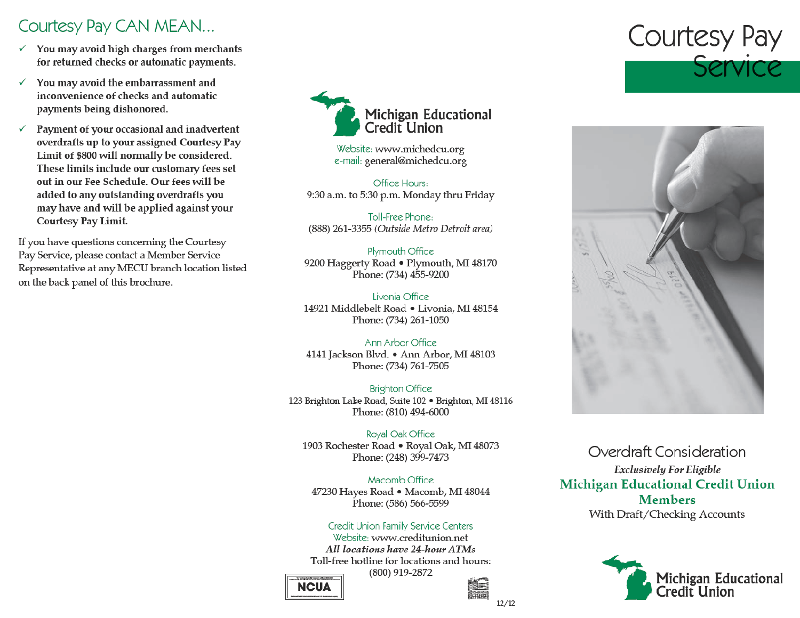# Courtesy Pay CAN MEAN...

- You may avoid high charges from merchants  $\checkmark$ for returned checks or automatic payments.
- ✓ You may avoid the embarrassment and inconvenience of checks and automatic payments being dishonored.
- ✓ Payment of your occasional and inadvertent overdrafts up to your assigned Courtesy Pay Limit of \$800 will normally be considered. These limits include our customary fees set out in our Fee Schedule. Our fees will be added to any outstanding overdrafts you may have and will be applied against your **Courtesy Pay Limit.**

If you have questions concerning the Courtesy Pay Service, please contact a Member Service Representative at any MECU branch location listed on the back panel of this brochure.



Website: www.michedcu.org e-mail: general@michedcu.org

Office Hours: 9:30 a.m. to 5:30 p.m. Monday thru Friday

Toll-Free Phone: (888) 261-3355 (Outside Metro Detroit area)

Plymouth Office 9200 Haggerty Road . Plymouth, MI 48170 Phone: (734) 455-9200

Livonia Office 14921 Middlebelt Road . Livonia, MI 48154 Phone: (734) 261-1050

Ann Arbor Office 4141 Jackson Blvd. • Ann Arbor, MI 48103 Phone: (734) 761-7505

**Brighton Office** 123 Brighton Lake Road, Suite 102 · Brighton, MI 48116 Phone: (810) 494-6000

Royal Oak Office 1903 Rochester Road . Royal Oak, MI 48073 Phone: (248) 399-7473

Macomb Office 47230 Hayes Road • Macomb, MI 48044 Phone: (586) 566-5599

Credit Union Family Service Centers Website: www.creditunion.net All locations have 24-hour ATMs Toll-free hotline for locations and hours: (800) 919-2872







Overdraft Consideration **Exclusively For Eligible Michigan Educational Credit Union Members** With Draft/Checking Accounts